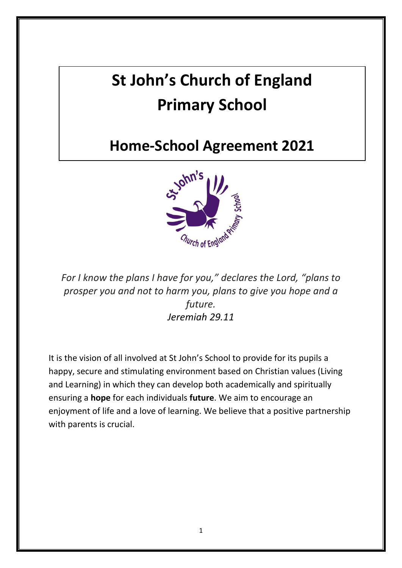# **St John's Church of England Primary School**

## **Home-School Agreement 2021**



*For I know the plans I have for you," declares the Lord, "plans to prosper you and not to harm you, plans to give you hope and a future. Jeremiah 29.11*

It is the vision of all involved at St John's School to provide for its pupils a happy, secure and stimulating environment based on Christian values (Living and Learning) in which they can develop both academically and spiritually ensuring a **hope** for each individuals **future**. We aim to encourage an enjoyment of life and a love of learning. We believe that a positive partnership with parents is crucial.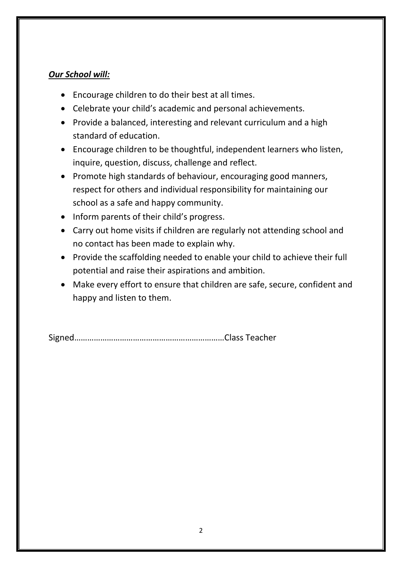#### *Our School will:*

- Encourage children to do their best at all times.
- Celebrate your child's academic and personal achievements.
- Provide a balanced, interesting and relevant curriculum and a high standard of education.
- Encourage children to be thoughtful, independent learners who listen, inquire, question, discuss, challenge and reflect.
- Promote high standards of behaviour, encouraging good manners, respect for others and individual responsibility for maintaining our school as a safe and happy community.
- Inform parents of their child's progress.
- Carry out home visits if children are regularly not attending school and no contact has been made to explain why.
- Provide the scaffolding needed to enable your child to achieve their full potential and raise their aspirations and ambition.
- Make every effort to ensure that children are safe, secure, confident and happy and listen to them.

Signed……………………………………………………………Class Teacher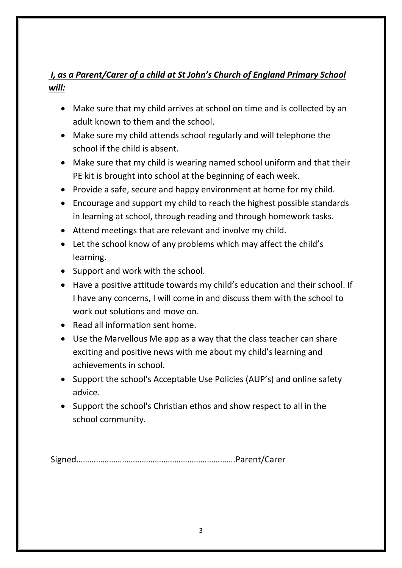### *I, as a Parent/Carer of a child at St John's Church of England Primary School will:*

- Make sure that my child arrives at school on time and is collected by an adult known to them and the school.
- Make sure my child attends school regularly and will telephone the school if the child is absent.
- Make sure that my child is wearing named school uniform and that their PE kit is brought into school at the beginning of each week.
- Provide a safe, secure and happy environment at home for my child.
- Encourage and support my child to reach the highest possible standards in learning at school, through reading and through homework tasks.
- Attend meetings that are relevant and involve my child.
- Let the school know of any problems which may affect the child's learning.
- Support and work with the school.
- Have a positive attitude towards my child's education and their school. If I have any concerns, I will come in and discuss them with the school to work out solutions and move on.
- Read all information sent home.
- Use the Marvellous Me app as a way that the class teacher can share exciting and positive news with me about my child's learning and achievements in school.
- Support the school's Acceptable Use Policies (AUP's) and online safety advice.
- Support the school's Christian ethos and show respect to all in the school community.

Signed……………………………………………………………….Parent/Carer